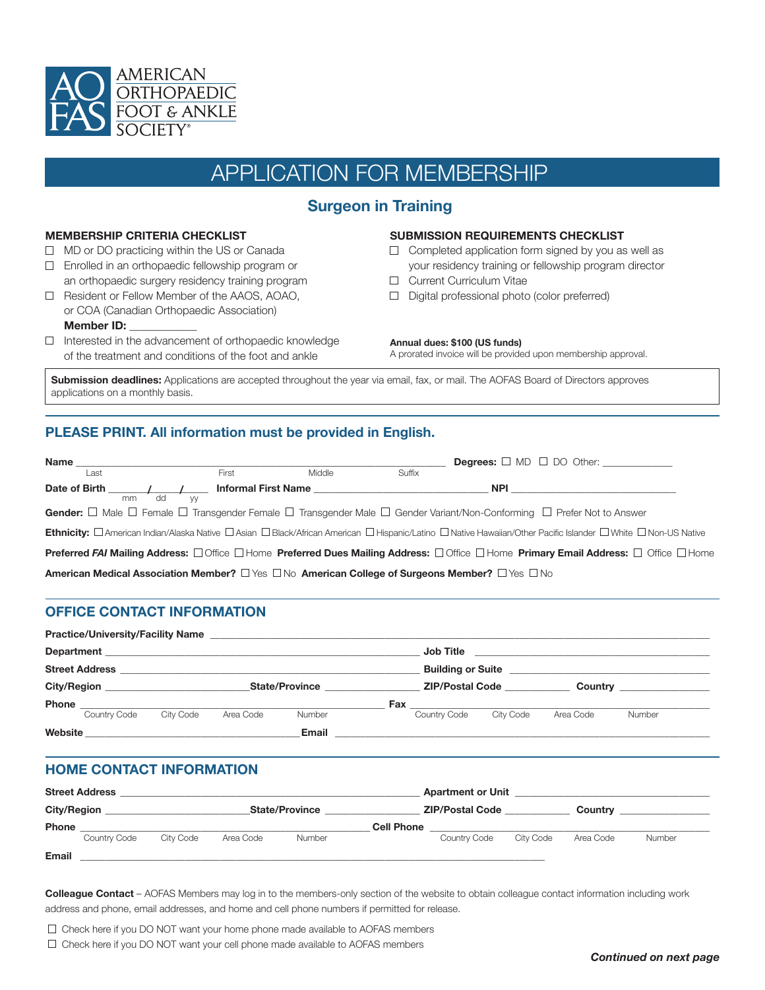

# APPLICATION FOR MEMBERSHIP

# **Surgeon in Training**

#### **MEMBERSHIP CRITERIA CHECKLIST**

- $\Box$  MD or DO practicing within the US or Canada
- □ Enrolled in an orthopaedic fellowship program or an orthopaedic surgery residency training program
- □ Resident or Fellow Member of the AAOS, AOAO, or COA (Canadian Orthopaedic Association) **Member ID:**
- $\Box$  Interested in the advancement of orthopaedic knowledge of the treatment and conditions of the foot and ankle

#### **SUBMISSION REQUIREMENTS CHECKLIST**

- $\Box$  Completed application form signed by you as well as your residency training or fellowship program director
- Current Curriculum Vitae
- Digital professional photo (color preferred)

#### **Annual dues: \$100 (US funds)**

A prorated invoice will be provided upon membership approval.

**Submission deadlines:** Applications are accepted throughout the year via email, fax, or mail. The AOFAS Board of Directors approves applications on a monthly basis.

## **PLEASE PRINT. All information must be provided in English.**

| Name ________________________                                                                                       |          |        |        |                                                                                                                                                                |  |
|---------------------------------------------------------------------------------------------------------------------|----------|--------|--------|----------------------------------------------------------------------------------------------------------------------------------------------------------------|--|
| Last                                                                                                                | First    | Middle | Suffix |                                                                                                                                                                |  |
| mm dd                                                                                                               | <b>W</b> |        |        | <b>NPI <i>NPI</i></b>                                                                                                                                          |  |
|                                                                                                                     |          |        |        | Gender: $\Box$ Male $\Box$ Female $\Box$ Transgender Female $\Box$ Transgender Male $\Box$ Gender Variant/Non-Conforming $\Box$ Prefer Not to Answer           |  |
|                                                                                                                     |          |        |        | Ethnicity: <b>Damerican Indian/Alaska Native Dasian DBlack/African American DHispanic/Latino DNative Hawaiian/Other Pacific Islander DWhite DNon-US Native</b> |  |
|                                                                                                                     |          |        |        | <b>Preferred FAI Mailing Address:</b> □ Office □ Home <b>Preferred Dues Mailing Address:</b> □ Office □ Home <b>Primary Email Address:</b> □ Office □ Home     |  |
| American Medical Association Member? $\Box$ Yes $\Box$ No American College of Surgeons Member? $\Box$ Yes $\Box$ No |          |        |        |                                                                                                                                                                |  |

### **OFFICE CONTACT INFORMATION**

|                                                                                                   | <b>Practice/University/Facility Name</b> |                       |           | the contract of the contract of the contract of the contract of the contract of the contract of the contract of |                        |                                                                                                                                  |                        |           |        |  |  |
|---------------------------------------------------------------------------------------------------|------------------------------------------|-----------------------|-----------|-----------------------------------------------------------------------------------------------------------------|------------------------|----------------------------------------------------------------------------------------------------------------------------------|------------------------|-----------|--------|--|--|
| Department<br><u> 1989 - Johann Stoff, amerikansk politiker (* 1908)</u><br><b>Street Address</b> |                                          |                       |           |                                                                                                                 |                        | Job Title<br><u> 1989 - Jan Samuel Barbara, margaret e popular e popular e popular e popular e popular e popular e popular e</u> |                        |           |        |  |  |
|                                                                                                   |                                          |                       |           |                                                                                                                 |                        | <b>Building or Suite</b>                                                                                                         |                        |           |        |  |  |
| <b>City/Region</b>                                                                                |                                          | <b>State/Province</b> |           |                                                                                                                 | <b>ZIP/Postal Code</b> |                                                                                                                                  | <b>Country Country</b> |           |        |  |  |
| <b>Phone</b>                                                                                      |                                          |                       |           |                                                                                                                 | Fax                    |                                                                                                                                  |                        |           |        |  |  |
|                                                                                                   | Country Code                             | City Code             | Area Code | <b>Number</b>                                                                                                   |                        | Country Code                                                                                                                     | City Code              | Area Code | Number |  |  |
| Website                                                                                           |                                          |                       |           | Email                                                                                                           |                        |                                                                                                                                  |                        |           |        |  |  |

### **HOME CONTACT INFORMATION**

| <b>Street Address</b> |              |                       |           |                        |                   | <b>Apartment or Unit</b> |           |           |        |  |
|-----------------------|--------------|-----------------------|-----------|------------------------|-------------------|--------------------------|-----------|-----------|--------|--|
| <b>City/Region</b>    |              | <b>State/Province</b> |           | <b>ZIP/Postal Code</b> |                   | Country                  |           |           |        |  |
| <b>Phone</b>          |              |                       |           |                        | <b>Cell Phone</b> |                          |           |           |        |  |
|                       | Country Code | City Code             | Area Code | Number                 |                   | Country Code             | City Code | Area Code | Number |  |
| <b>Email</b>          |              |                       |           |                        |                   |                          |           |           |        |  |

**Colleague Contact** – AOFAS Members may log in to the members-only section of the website to obtain colleague contact information including work address and phone, email addresses, and home and cell phone numbers if permitted for release.

 $\Box$  Check here if you DO NOT want your home phone made available to AOFAS members

 $\Box$  Check here if you DO NOT want your cell phone made available to AOFAS members